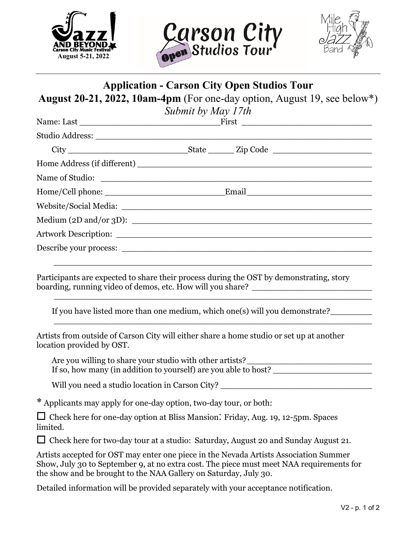





## **Application - Carson City Open Studios Tour**

**August 20-21, 2022, 10am-4pm** (For one-day option, August 19, see below\*)

| Submit by May 17th |  |  |  |  |
|--------------------|--|--|--|--|
|                    |  |  |  |  |
|                    |  |  |  |  |
|                    |  |  |  |  |
|                    |  |  |  |  |
|                    |  |  |  |  |
|                    |  |  |  |  |
|                    |  |  |  |  |
|                    |  |  |  |  |
|                    |  |  |  |  |
|                    |  |  |  |  |

Participants are expected to share their process during the OST by demonstrating, story boarding, running video of demos, etc. How will you share? \_\_\_\_\_\_\_\_\_\_\_\_\_\_\_\_\_\_\_\_\_

If you have listed more than one medium, which one(s) will you demonstrate?

 $\overline{\phantom{a}}$  ,  $\overline{\phantom{a}}$  ,  $\overline{\phantom{a}}$  ,  $\overline{\phantom{a}}$  ,  $\overline{\phantom{a}}$  ,  $\overline{\phantom{a}}$  ,  $\overline{\phantom{a}}$  ,  $\overline{\phantom{a}}$  ,  $\overline{\phantom{a}}$  ,  $\overline{\phantom{a}}$  ,  $\overline{\phantom{a}}$  ,  $\overline{\phantom{a}}$  ,  $\overline{\phantom{a}}$  ,  $\overline{\phantom{a}}$  ,  $\overline{\phantom{a}}$  ,  $\overline{\phantom{a}}$ 

Artists from outside of Carson City will either share a home studio or set up at another location provided by OST.

Are you willing to share your studio with other artists?\_\_\_\_\_\_\_\_\_\_\_\_\_\_\_\_\_\_\_\_\_\_\_\_\_ If so, how many (in addition to yourself) are you able to host? \_\_\_\_\_\_\_\_\_\_\_\_\_\_\_\_\_\_\_\_\_\_\_

 $\_$  , and the set of the set of the set of the set of the set of the set of the set of the set of the set of the set of the set of the set of the set of the set of the set of the set of the set of the set of the set of th

 $\_$  , and the set of the set of the set of the set of the set of the set of the set of the set of the set of the set of the set of the set of the set of the set of the set of the set of the set of the set of the set of th

Will you need a studio location in Carson City?

\* Applicants may apply for one-day option, two-day tour, or both:

 $\Box$  Check here for one-day option at Bliss Mansion: Friday, Aug. 19, 12-5pm. Spaces limited.

□ Check here for two-day tour at a studio: Saturday, August 20 and Sunday August 21.

Artists accepted for OST may enter one piece in the Nevada Artists Association Summer Show, July 30 to September 9, at no extra cost. The piece must meet NAA requirements for the show and be brought to the NAA Gallery on Saturday, July 30.

Detailed information will be provided separately with your acceptance notification.